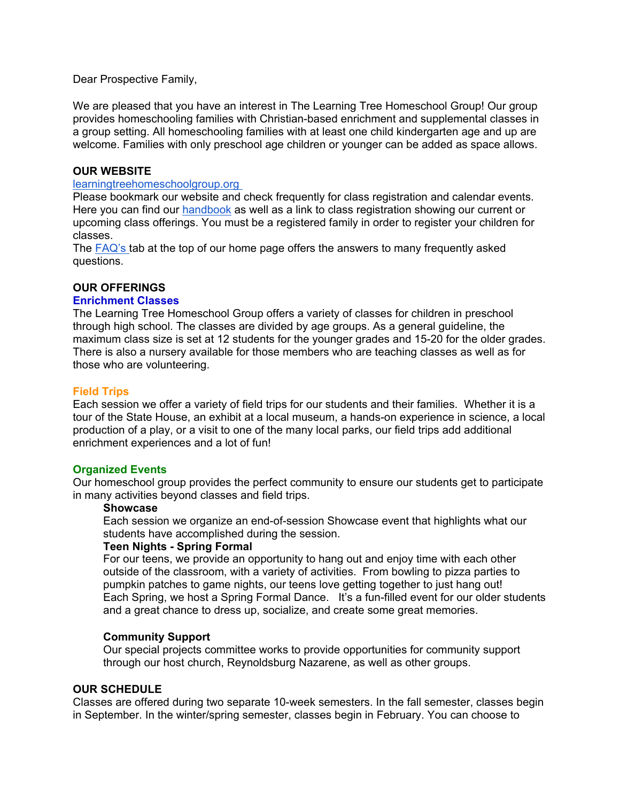Dear Prospective Family,

We are pleased that you have an interest in The Learning Tree Homeschool Group! Our group provides homeschooling families with Christian-based enrichment and supplemental classes in a group setting. All homeschooling families with at least one child kindergarten age and up are welcome. Families with only preschool age children or younger can be added as space allows.

### **OUR WEBSITE**

### [learningtreehomeschoolgroup.org](http://learningtreehomeschoolgroup.org/)

Please bookmark our website and check frequently for class registration and calendar events. Here you can find our [handbook](https://www.homeschool-life.com/669/custom/16544) as well as a link to class registration showing our current or upcoming class offerings. You must be a registered family in order to register your children for classes.

The [FAQ's t](https://www.homeschool-life.com/669/faq/faq?public=1&private=)ab at the top of our home page offers the answers to many frequently asked questions.

# **OUR OFFERINGS**

### **Enrichment Classes**

The Learning Tree Homeschool Group offers a variety of classes for children in preschool through high school. The classes are divided by age groups. As a general guideline, the maximum class size is set at 12 students for the younger grades and 15-20 for the older grades. There is also a nursery available for those members who are teaching classes as well as for those who are volunteering.

#### **Field Trips**

Each session we offer a variety of field trips for our students and their families. Whether it is a tour of the State House, an exhibit at a local museum, a hands-on experience in science, a local production of a play, or a visit to one of the many local parks, our field trips add additional enrichment experiences and a lot of fun!

## **Organized Events**

Our homeschool group provides the perfect community to ensure our students get to participate in many activities beyond classes and field trips.

#### **Showcase**

Each session we organize an end-of-session Showcase event that highlights what our students have accomplished during the session.

#### **Teen Nights - Spring Formal**

For our teens, we provide an opportunity to hang out and enjoy time with each other outside of the classroom, with a variety of activities. From bowling to pizza parties to pumpkin patches to game nights, our teens love getting together to just hang out! Each Spring, we host a Spring Formal Dance. It's a fun-filled event for our older students and a great chance to dress up, socialize, and create some great memories.

## **Community Support**

Our special projects committee works to provide opportunities for community support through our host church, Reynoldsburg Nazarene, as well as other groups.

### **OUR SCHEDULE**

Classes are offered during two separate 10-week semesters. In the fall semester, classes begin in September. In the winter/spring semester, classes begin in February. You can choose to